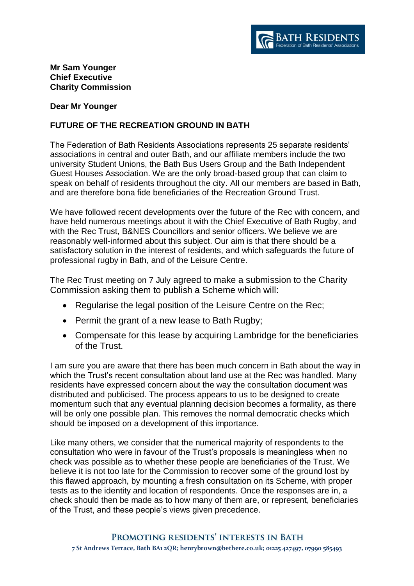

## **Mr Sam Younger Chief Executive Charity Commission**

## **Dear Mr Younger**

## **FUTURE OF THE RECREATION GROUND IN BATH**

The Federation of Bath Residents Associations represents 25 separate residents' associations in central and outer Bath, and our affiliate members include the two university Student Unions, the Bath Bus Users Group and the Bath Independent Guest Houses Association. We are the only broad-based group that can claim to speak on behalf of residents throughout the city. All our members are based in Bath, and are therefore bona fide beneficiaries of the Recreation Ground Trust.

We have followed recent developments over the future of the Rec with concern, and have held numerous meetings about it with the Chief Executive of Bath Rugby, and with the Rec Trust, B&NES Councillors and senior officers. We believe we are reasonably well-informed about this subject. Our aim is that there should be a satisfactory solution in the interest of residents, and which safeguards the future of professional rugby in Bath, and of the Leisure Centre.

The Rec Trust meeting on 7 July agreed to make a submission to the Charity Commission asking them to publish a Scheme which will:

- Regularise the legal position of the Leisure Centre on the Rec;
- Permit the grant of a new lease to Bath Rugby;
- Compensate for this lease by acquiring Lambridge for the beneficiaries of the Trust.

I am sure you are aware that there has been much concern in Bath about the way in which the Trust's recent consultation about land use at the Rec was handled. Many residents have expressed concern about the way the consultation document was distributed and publicised. The process appears to us to be designed to create momentum such that any eventual planning decision becomes a formality, as there will be only one possible plan. This removes the normal democratic checks which should be imposed on a development of this importance.

Like many others, we consider that the numerical majority of respondents to the consultation who were in favour of the Trust's proposals is meaningless when no check was possible as to whether these people are beneficiaries of the Trust. We believe it is not too late for the Commission to recover some of the ground lost by this flawed approach, by mounting a fresh consultation on its Scheme, with proper tests as to the identity and location of respondents. Once the responses are in, a check should then be made as to how many of them are, or represent, beneficiaries of the Trust, and these people's views given precedence.